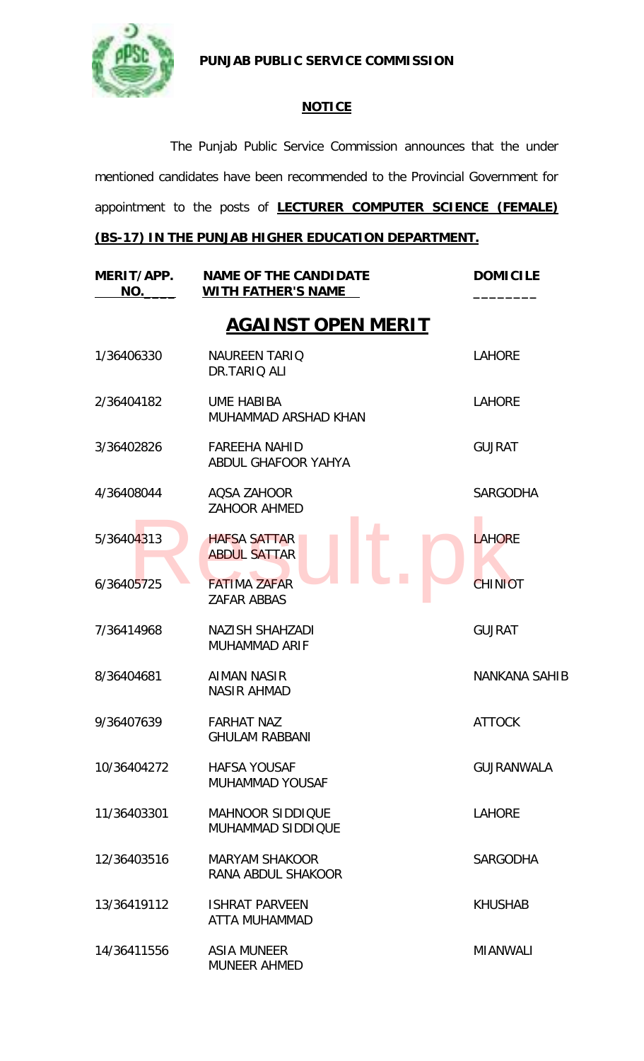

**PUNJAB PUBLIC SERVICE COMMISSION**

## **NOTICE**

The Punjab Public Service Commission announces that the under mentioned candidates have been recommended to the Provincial Government for appointment to the posts of **LECTURER COMPUTER SCIENCE (FEMALE)** 

## **(BS-17) IN THE PUNJAB HIGHER EDUCATION DEPARTMENT.**

| MERIT/APP.<br>NO. | <b>NAME OF THE CANDIDATE</b><br><b>WITH FATHER'S NAME</b> | <b>DOMICILE</b>      |
|-------------------|-----------------------------------------------------------|----------------------|
|                   | <b>AGAINST OPEN MERIT</b>                                 |                      |
| 1/36406330        | <b>NAUREEN TARIO</b><br>DR.TARIQ ALI                      | <b>LAHORE</b>        |
| 2/36404182        | <b>UME HABIBA</b><br>MUHAMMAD ARSHAD KHAN                 | <b>LAHORE</b>        |
| 3/36402826        | <b>FAREEHA NAHID</b><br>ABDUL GHAFOOR YAHYA               | <b>GUJRAT</b>        |
| 4/36408044        | AQSA ZAHOOR<br><b>ZAHOOR AHMED</b>                        | <b>SARGODHA</b>      |
| 5/36404313        | <b>HAFSA SATTAR</b><br><b>ABDUL SATTAR</b>                | <b>LAHORE</b>        |
| 6/36405725        | <b>FATIMA ZAFAR</b><br><b>ZAFAR ABBAS</b>                 | <b>CHINIOT</b>       |
| 7/36414968        | NAZISH SHAHZADI<br>MUHAMMAD ARIF                          | <b>GUJRAT</b>        |
| 8/36404681        | <b>AIMAN NASIR</b><br><b>NASIR AHMAD</b>                  | <b>NANKANA SAHIB</b> |
| 9/36407639        | <b>FARHAT NAZ</b><br><b>GHULAM RABBANI</b>                | <b>ATTOCK</b>        |
| 10/36404272       | <b>HAFSA YOUSAF</b><br><b>MUHAMMAD YOUSAF</b>             | <b>GUJRANWALA</b>    |
| 11/36403301       | <b>MAHNOOR SIDDIQUE</b><br>MUHAMMAD SIDDIQUE              | <b>LAHORE</b>        |
| 12/36403516       | <b>MARYAM SHAKOOR</b><br>RANA ABDUL SHAKOOR               | <b>SARGODHA</b>      |
| 13/36419112       | <b>ISHRAT PARVEEN</b><br>ATTA MUHAMMAD                    | <b>KHUSHAB</b>       |
| 14/36411556       | <b>ASIA MUNEER</b><br><b>MUNEER AHMED</b>                 | <b>MIANWALI</b>      |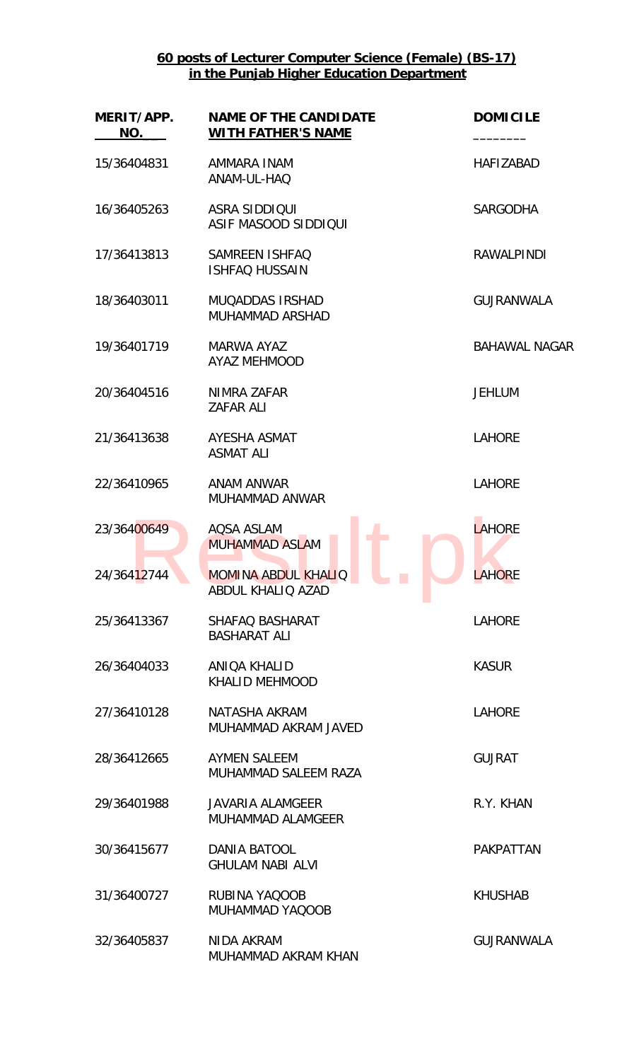**60 posts of Lecturer Computer Science (Female) (BS-17) in the Punjab Higher Education Department**

| MERIT/APP.<br>NO. | <b>NAME OF THE CANDIDATE</b><br><b>WITH FATHER'S NAME</b>                 | <b>DOMICILE</b>      |
|-------------------|---------------------------------------------------------------------------|----------------------|
| 15/36404831       | AMMARA INAM<br>ANAM-UL-HAQ                                                | <b>HAFIZABAD</b>     |
| 16/36405263       | <b>ASRA SIDDIQUI</b><br>ASIF MASOOD SIDDIQUI                              | <b>SARGODHA</b>      |
| 17/36413813       | SAMREEN ISHFAQ<br><b>ISHFAQ HUSSAIN</b>                                   | <b>RAWALPINDI</b>    |
| 18/36403011       | <b>MUQADDAS IRSHAD</b><br><b>MUHAMMAD ARSHAD</b>                          | <b>GUJRANWALA</b>    |
| 19/36401719       | <b>MARWA AYAZ</b><br><b>AYAZ MEHMOOD</b>                                  | <b>BAHAWAL NAGAR</b> |
| 20/36404516       | NIMRA ZAFAR<br>ZAFAR ALI                                                  | <b>JEHLUM</b>        |
| 21/36413638       | AYESHA ASMAT<br><b>ASMAT ALI</b>                                          | <b>LAHORE</b>        |
| 22/36410965       | <b>ANAM ANWAR</b><br>MUHAMMAD ANWAR                                       | <b>LAHORE</b>        |
| 23/36400649       | <b>AQSA ASLAM</b><br><b>MUHAMMAD ASLAM</b>                                | <b>LAHORE</b>        |
| 24/36412744       | <b>MOMINA ABDUL KHALIQ</b><br><b>Contract</b><br><b>ABDUL KHALIQ AZAD</b> | LAHORE               |
| 25/36413367       | SHAFAQ BASHARAT<br><b>BASHARAT ALI</b>                                    | <b>LAHORE</b>        |
| 26/36404033       | ANIQA KHALID<br><b>KHALID MEHMOOD</b>                                     | <b>KASUR</b>         |
| 27/36410128       | NATASHA AKRAM<br>MUHAMMAD AKRAM JAVED                                     | <b>LAHORE</b>        |
| 28/36412665       | AYMEN SALEEM<br>MUHAMMAD SALEEM RAZA                                      | <b>GUJRAT</b>        |
| 29/36401988       | <b>JAVARIA ALAMGEER</b><br>MUHAMMAD ALAMGEER                              | R.Y. KHAN            |
| 30/36415677       | <b>DANIA BATOOL</b><br><b>GHULAM NABI ALVI</b>                            | <b>PAKPATTAN</b>     |
| 31/36400727       | RUBINA YAQOOB<br>MUHAMMAD YAQOOB                                          | <b>KHUSHAB</b>       |
| 32/36405837       | NIDA AKRAM<br>MUHAMMAD AKRAM KHAN                                         | <b>GUJRANWALA</b>    |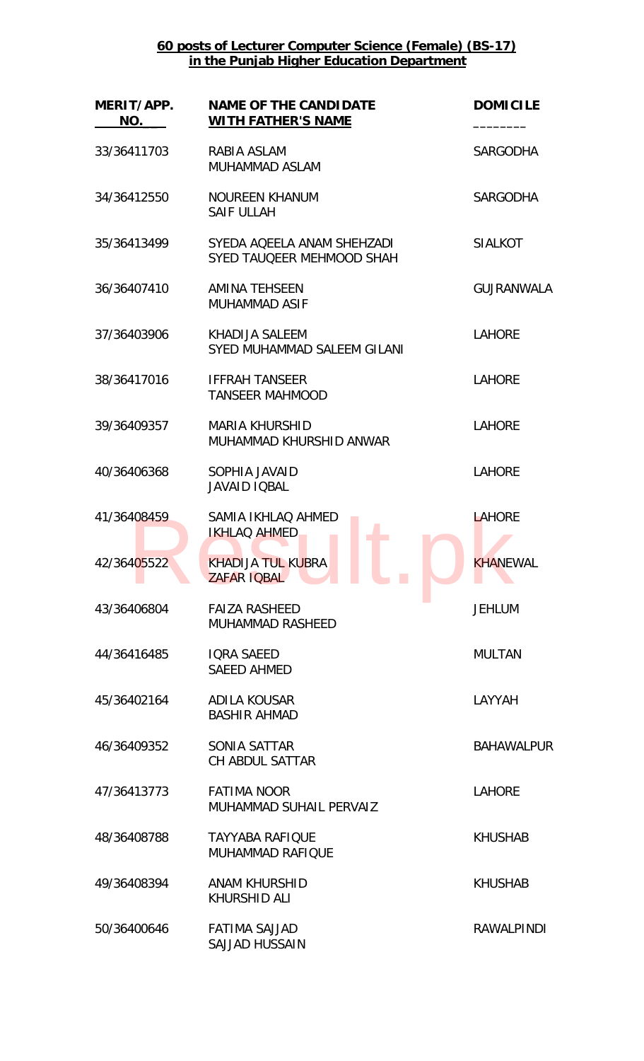## **60 posts of Lecturer Computer Science (Female) (BS-17) in the Punjab Higher Education Department**

| MERIT/APP.<br>NO. | <b>NAME OF THE CANDIDATE</b><br><b>WITH FATHER'S NAME</b> | <b>DOMICILE</b>   |
|-------------------|-----------------------------------------------------------|-------------------|
| 33/36411703       | RABIA ASLAM<br><b>MUHAMMAD ASLAM</b>                      | <b>SARGODHA</b>   |
| 34/36412550       | <b>NOUREEN KHANUM</b><br><b>SAIF ULLAH</b>                | <b>SARGODHA</b>   |
| 35/36413499       | SYEDA AQEELA ANAM SHEHZADI<br>SYED TAUQEER MEHMOOD SHAH   | <b>SIALKOT</b>    |
| 36/36407410       | <b>AMINA TEHSEEN</b><br><b>MUHAMMAD ASIF</b>              | <b>GUJRANWALA</b> |
| 37/36403906       | <b>KHADIJA SALEEM</b><br>SYED MUHAMMAD SALEEM GILANI      | <b>LAHORE</b>     |
| 38/36417016       | <b>IFFRAH TANSEER</b><br><b>TANSEER MAHMOOD</b>           | <b>LAHORE</b>     |
| 39/36409357       | <b>MARIA KHURSHID</b><br>MUHAMMAD KHURSHID ANWAR          | <b>LAHORE</b>     |
| 40/36406368       | SOPHIA JAVAID<br><b>JAVAID IQBAL</b>                      | <b>LAHORE</b>     |
| 41/36408459       | SAMIA IKHLAQ AHMED<br><b>IKHLAQ AHMED</b>                 | <b>LAHORE</b>     |
| 42/36405522       | <b>KHADIJA TUL KUBRA</b><br>ZAFAR IOBAL                   | KHANEWAL          |
| 43/36406804       | <b>FAIZA RASHEED</b><br><b>MUHAMMAD RASHEED</b>           | <b>JEHLUM</b>     |
| 44/36416485       | <b>IQRA SAEED</b><br><b>SAEED AHMED</b>                   | <b>MULTAN</b>     |
| 45/36402164       | <b>ADILA KOUSAR</b><br><b>BASHIR AHMAD</b>                | LAYYAH            |
| 46/36409352       | SONIA SATTAR<br><b>CH ABDUL SATTAR</b>                    | <b>BAHAWALPUR</b> |
| 47/36413773       | <b>FATIMA NOOR</b><br>MUHAMMAD SUHAIL PERVAIZ             | <b>LAHORE</b>     |
| 48/36408788       | <b>TAYYABA RAFIQUE</b><br><b>MUHAMMAD RAFIQUE</b>         | <b>KHUSHAB</b>    |
| 49/36408394       | <b>ANAM KHURSHID</b><br><b>KHURSHID ALI</b>               | <b>KHUSHAB</b>    |
| 50/36400646       | <b>FATIMA SAJJAD</b><br><b>SAJJAD HUSSAIN</b>             | <b>RAWALPINDI</b> |